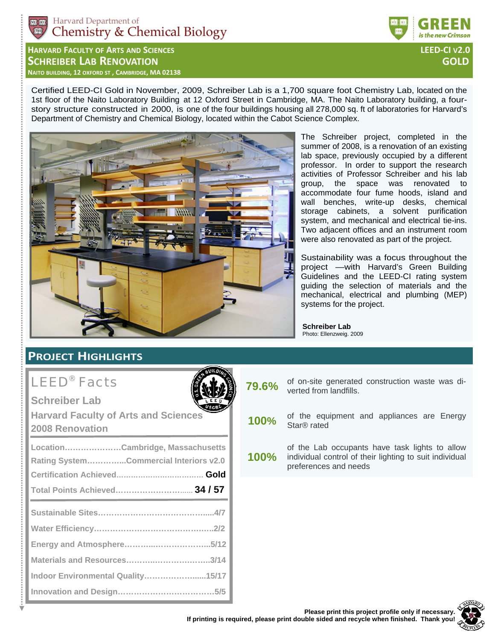

**HARVARD FACULTY OF ARTS AND SCIENCES LEED‐CI V2.0 SCHREIBER LAB RENOVATION GOLD NAITO BUILDING, 12 OXFORD ST , CAMBRIDGE, MA 02138** 

Certified LEED-CI Gold in November, 2009, Schreiber Lab is a 1,700 square foot Chemistry Lab, located on the 1st floor of the Naito Laboratory Building at 12 Oxford Street in Cambridge, MA. The Naito Laboratory building, a fourstory structure constructed in 2000, is one of the four buildings housing all 278,000 sq. ft of laboratories for Harvard's Department of Chemistry and Chemical Biology, located within the Cabot Science Complex.



The Schreiber project, completed in the summer of 2008, is a renovation of an existing lab space, previously occupied by a different professor. In order to support the research activities of Professor Schreiber and his lab group, the space was renovated to accommodate four fume hoods, island and wall benches, write-up desks, chemical storage cabinets, a solvent purification system, and mechanical and electrical tie-ins. Two adjacent offices and an instrument room were also renovated as part of the project.

Sustainability was a focus throughout the project —with Harvard's Green Building Guidelines and the LEED-CI rating system guiding the selection of materials and the mechanical, electrical and plumbing (MEP) systems for the project.

**Schreiber Lab**  Photo: Ellenzweig. 2009

## **PROJECT HIGHLIGHTS**

# LEED® Facts

**Schreiber Lab** 

**Harvard Faculty of Arts and Sciences 2008 Renovation** 

| LocationCambridge, Massachusetts       |  |
|----------------------------------------|--|
| Rating SystemCommercial Interiors v2.0 |  |
|                                        |  |
| Total Points Achieved 34 / 57          |  |
|                                        |  |
|                                        |  |
|                                        |  |
| Materials and Resources3/14            |  |
| Indoor Environmental Quality15/17      |  |
|                                        |  |

**79.6%** of on-site generated construction waste was diverted from landfills.

**100%** of the equipment and appliances are Energy Star® rated

**100%**  of the Lab occupants have task lights to allow individual control of their lighting to suit individual preferences and needs

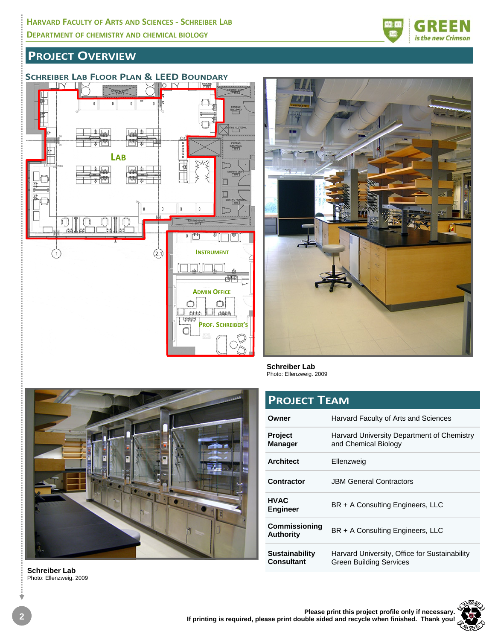

## **SCHREIBER LAB FLOOR PLAN & LEED BOUNDARY**





**Schreiber Lab**  Photo: Ellenzweig. 2009

| <b>PROJECT TEAM</b>                        |                                                                          |  |  |
|--------------------------------------------|--------------------------------------------------------------------------|--|--|
| Owner                                      | Harvard Faculty of Arts and Sciences                                     |  |  |
| <b>Project</b><br><b>Manager</b>           | Harvard University Department of Chemistry<br>and Chemical Biology       |  |  |
| <b>Architect</b>                           | Ellenzweig                                                               |  |  |
| Contractor                                 | <b>JBM General Contractors</b>                                           |  |  |
| <b>HVAC</b><br><b>Engineer</b>             | BR + A Consulting Engineers, LLC                                         |  |  |
| <b>Commissioning</b><br><b>Authority</b>   | BR + A Consulting Engineers, LLC                                         |  |  |
| <b>Sustainability</b><br><b>Consultant</b> | Harvard University, Office for Sustainability<br>Green Building Services |  |  |



**Schreiber Lab**  Photo: Ellenzweig. 2009



teres

is the new Crimson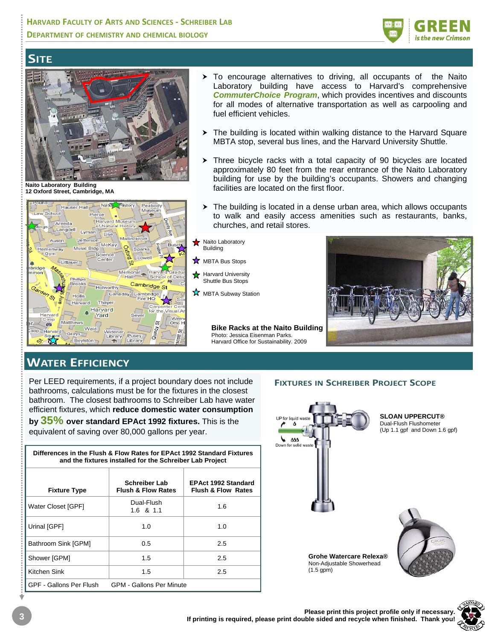### **HARVARD FACULTY OF ARTS AND SCIENCES ‐ SCHREIBER LAB DEPARTMENT OF CHEMISTRY AND CHEMICAL BIOLOGY**



## **SITE**



**Naito Laboratory Building 12 Oxford Street, Cambridge, MA**



- $\triangleright$  To encourage alternatives to driving, all occupants of the Naito Laboratory building have access to Harvard's comprehensive *CommuterChoice Program*, which provides incentives and discounts for all modes of alternative transportation as well as carpooling and fuel efficient vehicles.
- $\triangleright$  The building is located within walking distance to the Harvard Square MBTA stop, several bus lines, and the Harvard University Shuttle.
- $\triangleright$  Three bicycle racks with a total capacity of 90 bicycles are located approximately 80 feet from the rear entrance of the Naito Laboratory building for use by the building's occupants. Showers and changing facilities are located on the first floor.
- $\triangleright$  The building is located in a dense urban area, which allows occupants to walk and easily access amenities such as restaurants, banks, churches, and retail stores.
- Naito Laboratorv **Building**
- **X** MBTA Bus Stops
- Harvard University Shuttle Bus Stops
- **MBTA Subway Station**

**Bike Racks at the Naito Building**  Photo: Jessica Eisenman Parks. Harvard Office for Sustainability. 2009



## **WATER EFFICIENCY**

Per LEED requirements, if a project boundary does not include bathrooms, calculations must be for the fixtures in the closest bathroom. The closest bathrooms to Schreiber Lab have water efficient fixtures, which **reduce domestic water consumption** 

**by 35% over standard EPAct 1992 fixtures.** This is the equivalent of saving over 80,000 gallons per year.

| Differences in the Flush & Flow Rates for EPAct 1992 Standard Fixtures<br>and the fixtures installed for the Schreiber Lab Project |                                                       |                                                             |  |  |
|------------------------------------------------------------------------------------------------------------------------------------|-------------------------------------------------------|-------------------------------------------------------------|--|--|
| <b>Fixture Type</b>                                                                                                                | <b>Schreiber Lab</b><br><b>Flush &amp; Flow Rates</b> | <b>EPAct 1992 Standard</b><br><b>Flush &amp; Flow Rates</b> |  |  |
| Water Closet [GPF]                                                                                                                 | Dual-Flush<br>$1.6 \text{ } 8 \text{ } 1.1$           | 1.6                                                         |  |  |
| Urinal [GPF]                                                                                                                       | 1.0                                                   | 1.0                                                         |  |  |
| Bathroom Sink [GPM]                                                                                                                | 0.5                                                   | 2.5                                                         |  |  |
| Shower [GPM]                                                                                                                       | 1.5                                                   | 2.5                                                         |  |  |
| Kitchen Sink                                                                                                                       | 1.5                                                   | 2.5                                                         |  |  |
| GPF - Gallons Per Flush                                                                                                            | <b>GPM - Gallons Per Minute</b>                       |                                                             |  |  |

#### **FIXTURES IN SCHREIBER PROJECT SCOPE**



**SLOAN UPPERCUT®**  Dual-Flush Flushometer (Up 1.1 gpf and Down 1.6 gpf)





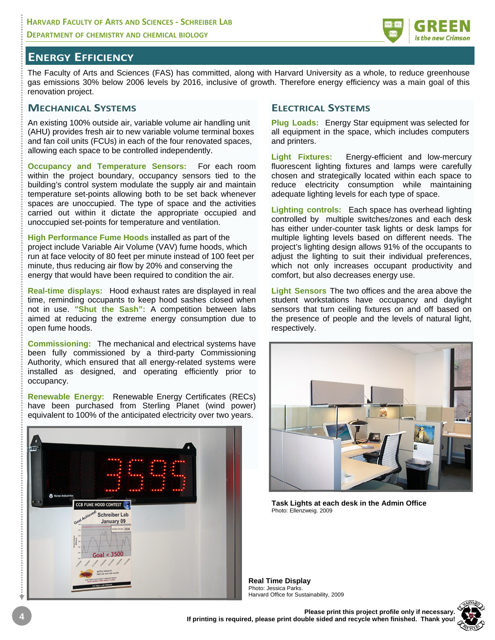

### **ENERGY EFFICIENCY**

The Faculty of Arts and Sciences (FAS) has committed, along with Harvard University as a whole, to reduce greenhouse gas emissions 30% below 2006 levels by 2016, inclusive of growth. Therefore energy efficiency was a main goal of this renovation project.

#### **MECHANICAL SYSTEMS**

An existing 100% outside air, variable volume air handling unit (AHU) provides fresh air to new variable volume terminal boxes and fan coil units (FCUs) in each of the four renovated spaces, allowing each space to be controlled independently.

**Occupancy and Temperature Sensors:** For each room within the project boundary, occupancy sensors tied to the building's control system modulate the supply air and maintain temperature set-points allowing both to be set back whenever spaces are unoccupied. The type of space and the activities carried out within it dictate the appropriate occupied and unoccupied set-points for temperature and ventilation.

**High Performance Fume Hoods** installed as part of the project include Variable Air Volume (VAV) fume hoods, which run at face velocity of 80 feet per minute instead of 100 feet per minute, thus reducing air flow by 20% and conserving the energy that would have been required to condition the air.

**Real-time displays:** Hood exhaust rates are displayed in real time, reminding occupants to keep hood sashes closed when not in use. **"Shut the Sash":** A competition between labs aimed at reducing the extreme energy consumption due to open fume hoods.

**Commissioning:** The mechanical and electrical systems have been fully commissioned by a third-party Commissioning Authority, which ensured that all energy-related systems were installed as designed, and operating efficiently prior to occupancy.

**Renewable Energy:** Renewable Energy Certificates (RECs) have been purchased from Sterling Planet (wind power) equivalent to 100% of the anticipated electricity over two years.



#### **ELECTRICAL SYSTEMS**

**Plug Loads:** Energy Star equipment was selected for all equipment in the space, which includes computers and printers.

**Light Fixtures:** Energy-efficient and low-mercury fluorescent lighting fixtures and lamps were carefully chosen and strategically located within each space to reduce electricity consumption while maintaining adequate lighting levels for each type of space.

**Lighting controls:** Each space has overhead lighting controlled by multiple switches/zones and each desk has either under-counter task lights or desk lamps for multiple lighting levels based on different needs. The project's lighting design allows 91% of the occupants to adjust the lighting to suit their individual preferences, which not only increases occupant productivity and comfort, but also decreases energy use.

**Light Sensors** The two offices and the area above the student workstations have occupancy and daylight sensors that turn ceiling fixtures on and off based on the presence of people and the levels of natural light, respectively.



**Task Lights at each desk in the Admin Office**  Photo: Ellenzweig. 2009

**Real Time Display**  Photo: Jessica Parks. Harvard Office for Sustainability, 2009

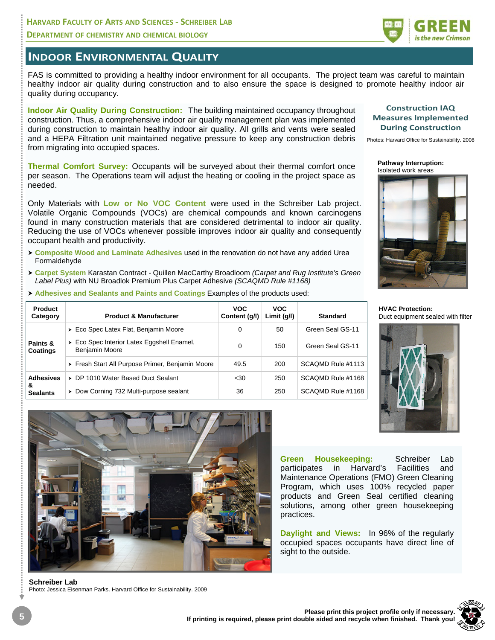#### **HARVARD FACULTY OF ARTS AND SCIENCES ‐ SCHREIBER LAB DEPARTMENT OF CHEMISTRY AND CHEMICAL BIOLOGY**



## **INDOOR ENVIRONMENTAL QUALITY**

FAS is committed to providing a healthy indoor environment for all occupants. The project team was careful to maintain healthy indoor air quality during construction and to also ensure the space is designed to promote healthy indoor air quality during occupancy.

**Indoor Air Quality During Construction:** The building maintained occupancy throughout construction. Thus, a comprehensive indoor air quality management plan was implemented during construction to maintain healthy indoor air quality. All grills and vents were sealed and a HEPA Filtration unit maintained negative pressure to keep any construction debris from migrating into occupied spaces.

**Thermal Comfort Survey:** Occupants will be surveyed about their thermal comfort once per season. The Operations team will adjust the heating or cooling in the project space as needed.

Only Materials with **Low or No VOC Content** were used in the Schreiber Lab project. Volatile Organic Compounds (VOCs) are chemical compounds and known carcinogens found in many construction materials that are considered detrimental to indoor air quality. Reducing the use of VOCs whenever possible improves indoor air quality and consequently occupant health and productivity.

- h **Composite Wood and Laminate Adhesives** used in the renovation do not have any added Urea Formaldehyde
- h **Carpet System** Karastan Contract Quillen MacCarthy Broadloom *(Carpet and Rug Institute's Green Label Plus)* with NU Broadlok Premium Plus Carpet Adhesive *(SCAQMD Rule #1168)*
- **Adhesives and Sealants and Paints and Coatings Examples of the products used:**

| Product<br>Category  | <b>Product &amp; Manufacturer</b>                            | <b>VOC</b><br>Content (g/l) | <b>VOC</b><br>Limit $(g/l)$ | Standard          |
|----------------------|--------------------------------------------------------------|-----------------------------|-----------------------------|-------------------|
| Paints &<br>Coatings | > Eco Spec Latex Flat, Benjamin Moore                        | 0                           | 50                          | Green Seal GS-11  |
|                      | > Eco Spec Interior Latex Eggshell Enamel,<br>Benjamin Moore | 0                           | 150                         | Green Seal GS-11  |
|                      | > Fresh Start All Purpose Primer, Benjamin Moore             | 49.5                        | 200                         | SCAQMD Rule #1113 |
| <b>Adhesives</b>     | > DP 1010 Water Based Duct Sealant                           | $30$                        | 250                         | SCAQMD Rule #1168 |
| &<br><b>Sealants</b> | > Dow Corning 732 Multi-purpose sealant                      | 36                          | 250                         | SCAQMD Rule #1168 |



Photos: Harvard Office for Sustainability. 2008

**Pathway Interruption:**  Isolated work areas



**HVAC Protection:**  Duct equipment sealed with filter



**Green Housekeeping:** Schreiber Lab participates in Harvard's Facilities and Maintenance Operations (FMO) Green Cleaning Program, which uses 100% recycled paper products and Green Seal certified cleaning solutions, among other green housekeeping practices.

**Daylight and Views:** In 96% of the regularly occupied spaces occupants have direct line of sight to the outside.



**Schreiber Lab**  Photo: Jessica Eisenman Parks. Harvard Office for Sustainability. 2009